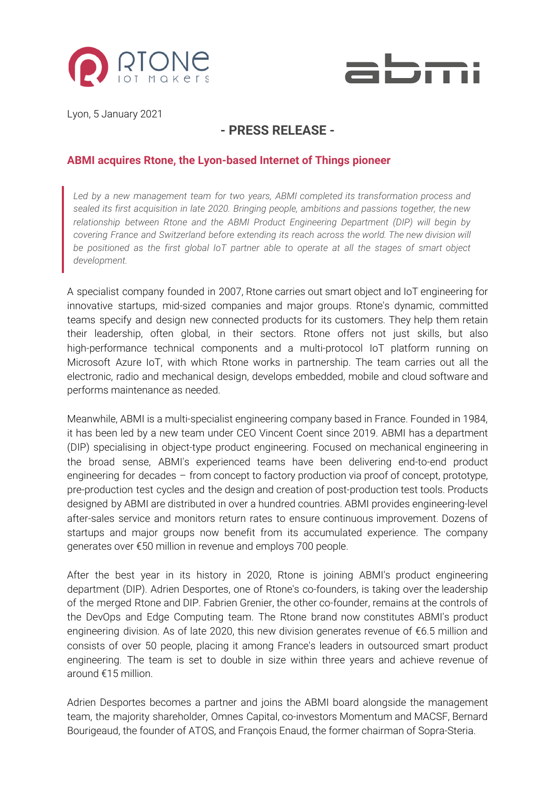



Lyon, 5 January 2021

## **- PRESS RELEASE -**

## **ABMI acquires Rtone, the Lyon-based Internet of Things pioneer**

*Led by a new management team for two years, ABMI completed its transformation process and sealed its first acquisition in late 2020. Bringing people, ambitions and passions together, the new relationship between Rtone and the ABMI Product Engineering Department (DIP) will begin by covering France and Switzerland before extending its reach across the world. The new division will be positioned as the first global IoT partner able to operate at all the stages of smart object development.*

A specialist company founded in 2007, Rtone carries out smart object and IoT engineering for innovative startups, mid-sized companies and major groups. Rtone's dynamic, committed teams specify and design new connected products for its customers. They help them retain their leadership, often global, in their sectors. Rtone offers not just skills, but also high-performance technical components and a multi-protocol IoT platform running on Microsoft Azure IoT, with which Rtone works in partnership. The team carries out all the electronic, radio and mechanical design, develops embedded, mobile and cloud software and performs maintenance as needed.

Meanwhile, ABMI is a multi-specialist engineering company based in France. Founded in 1984, it has been led by a new team under CEO Vincent Coent since 2019. ABMI has a department (DIP) specialising in object-type product engineering. Focused on mechanical engineering in the broad sense, ABMI's experienced teams have been delivering end-to-end product engineering for decades – from concept to factory production via proof of concept, prototype, pre-production test cycles and the design and creation of post-production test tools. Products designed by ABMI are distributed in over a hundred countries. ABMI provides engineering-level after-sales service and monitors return rates to ensure continuous improvement. Dozens of startups and major groups now benefit from its accumulated experience. The company generates over €50 million in revenue and employs 700 people.

After the best year in its history in 2020, Rtone is joining ABMI's product engineering department (DIP). Adrien Desportes, one of Rtone's co-founders, is taking over the leadership of the merged Rtone and DIP. Fabrien Grenier, the other co-founder, remains at the controls of the DevOps and Edge Computing team. The Rtone brand now constitutes ABMI's product engineering division. As of late 2020, this new division generates revenue of €6.5 million and consists of over 50 people, placing it among France's leaders in outsourced smart product engineering. The team is set to double in size within three years and achieve revenue of around €15 million.

Adrien Desportes becomes a partner and joins the ABMI board alongside the management team, the majority shareholder, Omnes Capital, co-investors Momentum and MACSF, Bernard Bourigeaud, the founder of ATOS, and François Enaud, the former chairman of Sopra-Steria.